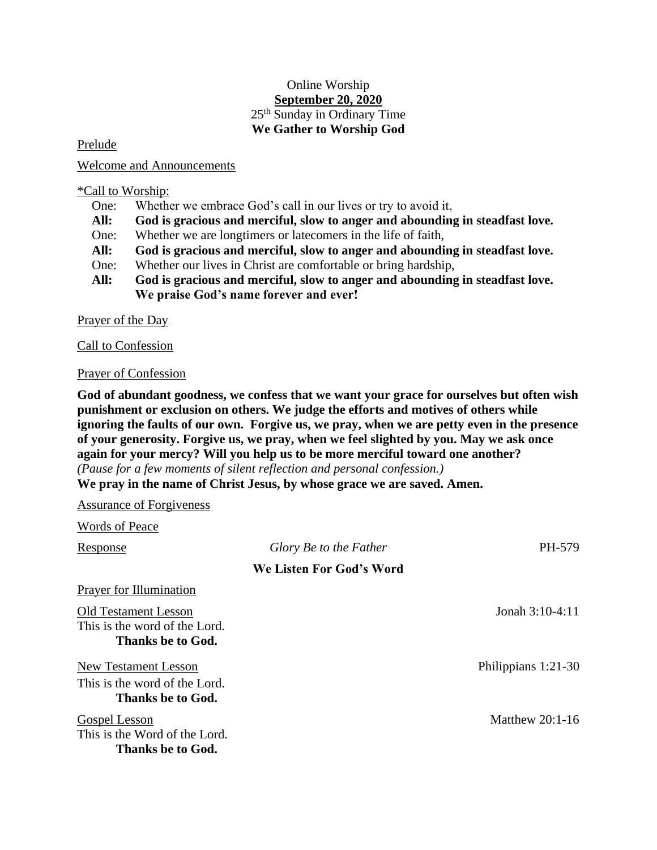## Online Worship **September 20, 2020** 25<sup>th</sup> Sunday in Ordinary Time **We Gather to Worship God**

Prelude

Welcome and Announcements

\*Call to Worship:

- One: Whether we embrace God's call in our lives or try to avoid it,
- **All: God is gracious and merciful, slow to anger and abounding in steadfast love.**
- One: Whether we are longtimers or latecomers in the life of faith,
- **All: God is gracious and merciful, slow to anger and abounding in steadfast love.**
- One: Whether our lives in Christ are comfortable or bring hardship,
- **All: God is gracious and merciful, slow to anger and abounding in steadfast love. We praise God's name forever and ever!**

Prayer of the Day

Call to Confession

## Prayer of Confession

**God of abundant goodness, we confess that we want your grace for ourselves but often wish punishment or exclusion on others. We judge the efforts and motives of others while ignoring the faults of our own. Forgive us, we pray, when we are petty even in the presence of your generosity. Forgive us, we pray, when we feel slighted by you. May we ask once again for your mercy? Will you help us to be more merciful toward one another?**  *(Pause for a few moments of silent reflection and personal confession.)*

**We pray in the name of Christ Jesus, by whose grace we are saved. Amen.**

Assurance of Forgiveness Words of Peace Response *Glory Be to the Father* PH-579 **We Listen For God's Word** Prayer for Illumination Old Testament Lesson Jonah 3:10-4:11 This is the word of the Lord. **Thanks be to God.** New Testament Lesson Philippians 1:21-30 This is the word of the Lord. **Thanks be to God.** Gospel Lesson Matthew 20:1-16 This is the Word of the Lord. **Thanks be to God.**